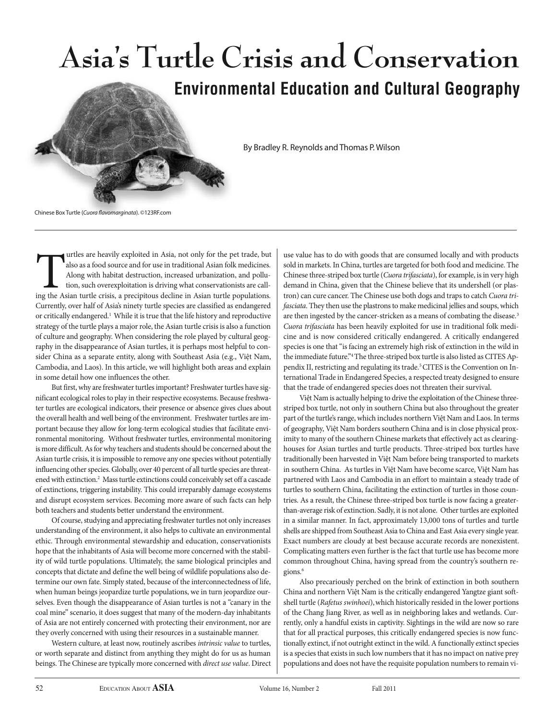

urtles are heavily exploited in Asia, not only for the pet trade, but also as a food source and for use in traditional Asian folk medicines. Along with habitat destruction, increased urbanization, and pollution, such overexploitation is driving what conservationists are calling the Asian turtle crisis, a precipitous decline in Asian turtle populations. Currently, over half of Asia's ninety turtle species are classified as endangered or critically endangered.<sup>1</sup> While it is true that the life history and reproductive strategy of the turtle plays a major role, the Asian turtle crisis is also a function of culture and geography. When considering the role played by cultural geography in the disappearance of Asian turtles, it is perhaps most helpful to consider China as a separate entity, along with Southeast Asia (e.g., Việt Nam, Cambodia, and Laos). In this article, we will highlight both areas and explain in some detail how one influences the other.

But first, why are freshwater turtles important? Freshwater turtles have significant ecological roles to play in their respective ecosystems. Because freshwater turtles are ecological indicators, their presence or absence gives clues about the overall health and well being of the environment. Freshwater turtles are important because they allow for long-term ecological studies that facilitate environmental monitoring. Without freshwater turtles, environmental monitoring is more difficult. As for why teachers and students should be concerned about the Asian turtle crisis, it is impossible to remove any one species without potentially influencing other species. Globally, over 40 percent of all turtle species are threatened with extinction.2 Mass turtle extinctions could conceivably set off a cascade of extinctions, triggering instability. This could irreparably damage ecosystems and disrupt ecosystem services. Becoming more aware of such facts can help both teachers and students better understand the environment.

Of course, studying and appreciating freshwater turtles not only increases understanding of the environment, it also helps to cultivate an environmental ethic. Through environmental stewardship and education, conservationists hope that the inhabitants of Asia will become more concerned with the stability of wild turtle populations. Ultimately, the same biological principles and concepts that dictate and define the well being of wildlife populations also determine our own fate. Simply stated, because of the interconnectedness of life, when human beings jeopardize turtle populations, we in turn jeopardize ourselves. Even though the disappearance of Asian turtles is not a "canary in the coal mine" scenario, it does suggest that many of the modern-day inhabitants of Asia are not entirely concerned with protecting their environment, nor are they overly concerned with using their resources in a sustainable manner.

Western culture, at least now, routinely ascribes intrinsic value to turtles, or worth separate and distinct from anything they might do for us as human beings. The Chinese are typically more concerned with direct use value. Direct use value has to do with goods that are consumed locally and with products sold in markets. In China, turtles are targeted for both food and medicine. The Chinese three-striped box turtle (Cuora trifasciata), for example, is in very high demand in China, given that the Chinese believe that its undershell (or plastron) can cure cancer. The Chinese use both dogs and traps to catch Cuora trifasciata. They then use the plastrons to make medicinal jellies and soups, which are then ingested by the cancer-stricken as a means of combating the disease.<sup>3</sup> Cuora trifasciata has been heavily exploited for use in traditional folk medicine and is now considered critically endangered. A critically endangered species is one that "is facing an extremely high risk of extinction in the wild in the immediate future."4 The three-striped box turtle is also listed as CITES Appendix II, restricting and regulating its trade.<sup>5</sup> CITES is the Convention on International Trade in Endangered Species, a respected treaty designed to ensure that the trade of endangered species does not threaten their survival.

Việt Nam is actually helping to drive the exploitation of the Chinese threestriped box turtle, not only in southern China but also throughout the greater part of the turtle's range, which includes northern Việt Nam and Laos. In terms of geography, Việt Nam borders southern China and is in close physical proximity to many of the southern Chinese markets that effectively act as clearinghouses for Asian turtles and turtle products. Three-striped box turtles have traditionally been harvested in Việt Nam before being transported to markets in southern China. As turtles in Việt Nam have become scarce, Việt Nam has partnered with Laos and Cambodia in an effort to maintain a steady trade of turtles to southern China, facilitating the extinction of turtles in those countries. As a result, the Chinese three-striped box turtle is now facing a greaterthan-average risk of extinction. Sadly, it is not alone. Other turtles are exploited in a similar manner. In fact, approximately 13,000 tons of turtles and turtle shells are shipped from Southeast Asia to China and East Asia every single year. Exact numbers are cloudy at best because accurate records are nonexistent. Complicating matters even further is the fact that turtle use has become more common throughout China, having spread from the country's southern regions.6

Also precariously perched on the brink of extinction in both southern China and northern Việt Nam is the critically endangered Yangtze giant softshell turtle (Rafetus swinhoei), which historically resided in the lower portions of the Chang Jiang River, as well as in neighboring lakes and wetlands. Currently, only a handful exists in captivity. Sightings in the wild are now so rare that for all practical purposes, this critically endangered species is now functionally extinct, if not outright extinct in the wild. A functionally extinct species is a species that exists in such low numbers that it has no impact on native prey populations and does not have the requisite population numbers to remain vi-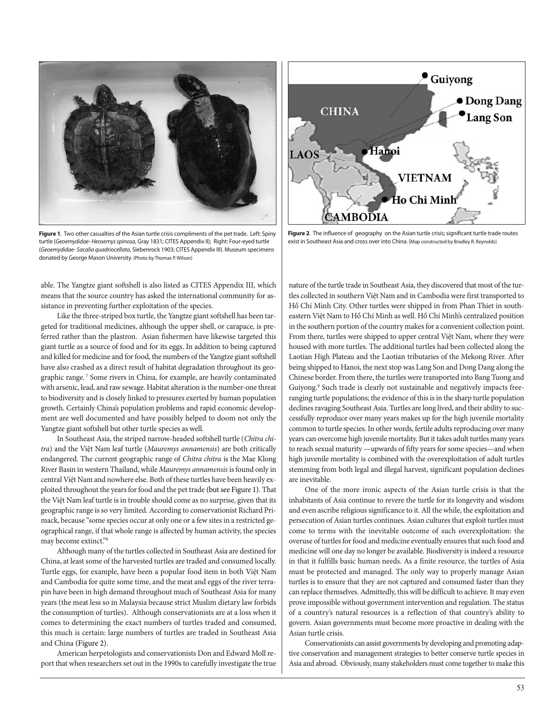

**Figure 1**. Two other casualties of the Asian turtle crisis compliments of the pet trade. Left: Spiny turtle (Geoemydidae- Heosemys spinosa, Gray 1831; CITES Appendix II); Right: Four-eyed turtle (Geoemydidae- Sacalia quadriocellata, Siebenrock 1903; CITES Appendix III). Museum specimens donated by George Mason University. (Photo by Thomas P. Wilson)

able. The Yangtze giant softshell is also listed as CITES Appendix III, which means that the source country has asked the international community for assistance in preventing further exploitation of the species.

Like the three-striped box turtle, the Yangtze giant softshell has been targeted for traditional medicines, although the upper shell, or carapace, is preferred rather than the plastron. Asian fishermen have likewise targeted this giant turtle as a source of food and for its eggs. In addition to being captured and killed for medicine and for food, the numbers of the Yangtze giant softshell have also crashed as a direct result of habitat degradation throughout its geographic range. <sup>7</sup> Some rivers in China, for example, are heavily contaminated with arsenic, lead, and raw sewage. Habitat alteration is the number-one threat to biodiversity and is closely linked to pressures exerted by human population growth. Certainly China's population problems and rapid economic development are well documented and have possibly helped to doom not only the Yangtze giant softshell but other turtle species as well.

In Southeast Asia, the striped narrow-headed softshell turtle (Chitra chitra) and the Việt Nam leaf turtle (Mauremys annamensis) are both critically endangered. The current geographic range of Chitra chitra is the Mae Klong River Basin in western Thailand, while Mauremys annamensis is found only in central Việt Nam and nowhere else. Both of these turtles have been heavily exploited throughout the years for food and the pet trade (but see Figure 1). That the Việt Nam leaf turtle is in trouble should come as no surprise, given that its geographic range is so very limited. According to conservationist Richard Primack, because "some species occur at only one or a few sites in a restricted geographical range, if that whole range is affected by human activity, the species may become extinct."8

Although many of the turtles collected in Southeast Asia are destined for China, at least some of the harvested turtles are traded and consumed locally. Turtle eggs, for example, have been a popular food item in both Việt Nam and Cambodia for quite some time, and the meat and eggs of the river terrapin have been in high demand throughout much of Southeast Asia for many years (the meat less so in Malaysia because strict Muslim dietary law forbids the consumption of turtles). Although conservationists are at a loss when it comes to determining the exact numbers of turtles traded and consumed, this much is certain: large numbers of turtles are traded in Southeast Asia and China (Figure 2).

American herpetologists and conservationists Don and Edward Moll report that when researchers set out in the 1990s to carefully investigate the true



**Figure 2**. The influence of geography on the Asian turtle crisis; significant turtle trade routes exist in Southeast Asia and cross over into China. {Map constructed by Bradley R. Reynolds)

nature of the turtle trade in Southeast Asia, they discovered that most of the turtles collected in southern Việt Nam and in Cambodia were first transported to Hồ Chí Minh City. Other turtles were shipped in from Phan Thiet in southeastern Việt Nam to Hồ Chí Minh as well. Hồ Chí Minh's centralized position in the southern portion of the country makes for a convenient collection point. From there, turtles were shipped to upper central Việt Nam, where they were housed with more turtles. The additional turtles had been collected along the Laotian High Plateau and the Laotian tributaries of the Mekong River. After being shipped to Hanoi, the next stop was Lang Son and Dong Dang along the Chinese border. From there, the turtles were transported into Bang Tuong and Guiyong.<sup>9</sup> Such trade is clearly not sustainable and negatively impacts freeranging turtle populations; the evidence of this is in the sharp turtle population declines ravaging Southeast Asia. Turtles are long lived, and their ability to successfully reproduce over many years makes up for the high juvenile mortality common to turtle species. In other words, fertile adults reproducing over many years can overcome high juvenile mortality. But it takes adult turtles many years to reach sexual maturity —upwards of fifty years for some species—and when high juvenile mortality is combined with the overexploitation of adult turtles stemming from both legal and illegal harvest, significant population declines are inevitable.

One of the more ironic aspects of the Asian turtle crisis is that the inhabitants of Asia continue to revere the turtle for its longevity and wisdom and even ascribe religious significance to it. All the while, the exploitation and persecution of Asian turtles continues. Asian cultures that exploit turtles must come to terms with the inevitable outcome of such overexploitation: the overuse of turtles for food and medicine eventually ensures that such food and medicine will one day no longer be available. Biodiversity is indeed a resource in that it fulfills basic human needs. As a finite resource, the turtles of Asia must be protected and managed. The only way to properly manage Asian turtles is to ensure that they are not captured and consumed faster than they can replace themselves. Admittedly, this will be difficult to achieve. It may even prove impossible without government intervention and regulation. The status of a country's natural resources is a reflection of that country's ability to govern. Asian governments must become more proactive in dealing with the Asian turtle crisis.

Conservationists can assist governments by developing and promoting adaptive conservation and management strategies to better conserve turtle species in Asia and abroad. Obviously, many stakeholders must come together to make this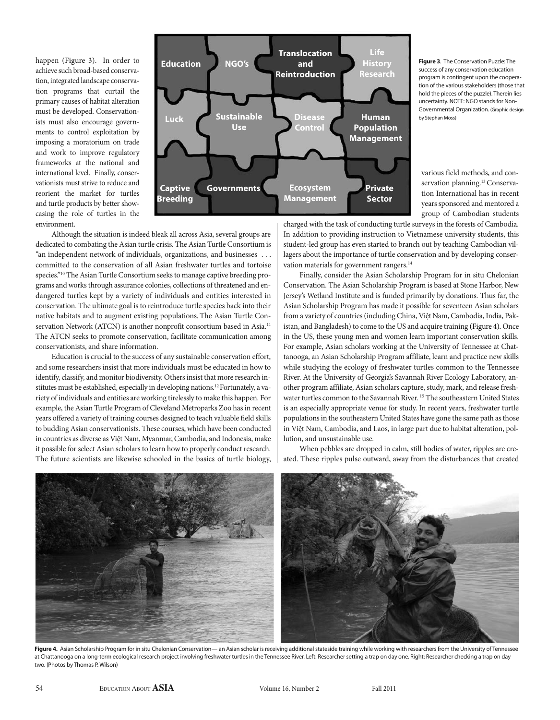happen (Figure 3). In order to achieve such broad-based conservation, integrated landscape conservation programs that curtail the primary causes of habitat alteration must be developed. Conservationists must also encourage governments to control exploitation by imposing a moratorium on trade and work to improve regulatory frameworks at the national and international level. Finally, conservationists must strive to reduce and reorient the market for turtles and turtle products by better showcasing the role of turtles in the environment.



**Figure 3**. The Conservation Puzzle: The success of any conservation education program is contingent upon the cooperation of the various stakeholders (those that hold the pieces of the puzzle). Therein lies uncertainty. NOTE: NGO stands for Non-Governmental Organization. (Graphic design by Stephan Moss)

various field methods, and conservation planning.<sup>13</sup> Conservation International has in recent years sponsored and mentored a group of Cambodian students

Although the situation is indeed bleak all across Asia, several groups are dedicated to combating the Asian turtle crisis. The Asian Turtle Consortium is "an independent network of individuals, organizations, and businesses . . . committed to the conservation of all Asian freshwater turtles and tortoise species."10 The Asian Turtle Consortium seeks to manage captive breeding programs and works through assurance colonies, collections of threatened and endangered turtles kept by a variety of individuals and entities interested in conservation. The ultimate goal is to reintroduce turtle species back into their native habitats and to augment existing populations. The Asian Turtle Conservation Network (ATCN) is another nonprofit consortium based in Asia.<sup>11</sup> The ATCN seeks to promote conservation, facilitate communication among conservationists, and share information.

Education is crucial to the success of any sustainable conservation effort, and some researchers insist that more individuals must be educated in how to identify, classify, and monitor biodiversity. Others insist that more research institutes must be established, especially in developing nations.12 Fortunately, a variety of individuals and entities are working tirelessly to make this happen. For example, the Asian Turtle Program of Cleveland Metroparks Zoo has in recent years offered a variety of training courses designed to teach valuable field skills to budding Asian conservationists. These courses, which have been conducted in countries as diverse as Việt Nam, Myanmar, Cambodia, and Indonesia, make it possible for select Asian scholars to learn how to properly conduct research. The future scientists are likewise schooled in the basics of turtle biology, charged with the task of conducting turtle surveys in the forests of Cambodia. In addition to providing instruction to Vietnamese university students, this student-led group has even started to branch out by teaching Cambodian villagers about the importance of turtle conservation and by developing conservation materials for government rangers.<sup>14</sup>

Finally, consider the Asian Scholarship Program for in situ Chelonian Conservation. The Asian Scholarship Program is based at Stone Harbor, New Jersey's Wetland Institute and is funded primarily by donations. Thus far, the Asian Scholarship Program has made it possible for seventeen Asian scholars from a variety of countries (including China, Việt Nam, Cambodia, India, Pakistan, and Bangladesh) to come to the US and acquire training (Figure 4). Once in the US, these young men and women learn important conservation skills. For example, Asian scholars working at the University of Tennessee at Chattanooga, an Asian Scholarship Program affiliate, learn and practice new skills while studying the ecology of freshwater turtles common to the Tennessee River. At the University of Georgia's Savannah River Ecology Laboratory, another program affiliate, Asian scholars capture, study, mark, and release freshwater turtles common to the Savannah River. 15 The southeastern United States is an especially appropriate venue for study. In recent years, freshwater turtle populations in the southeastern United States have gone the same path as those in Việt Nam, Cambodia, and Laos, in large part due to habitat alteration, pollution, and unsustainable use.

When pebbles are dropped in calm, still bodies of water, ripples are created. These ripples pulse outward, away from the disturbances that created



Figure 4. Asian Scholarship Program for in situ Chelonian Conservation— an Asian scholar is receiving additional stateside training while working with researchers from the University of Tennessee at Chattanooga on a long-term ecological research project involving freshwater turtles in the Tennessee River. Left: Researcher setting a trap on day one. Right: Researcher checking a trap on day two. (Photos by Thomas P. Wilson)